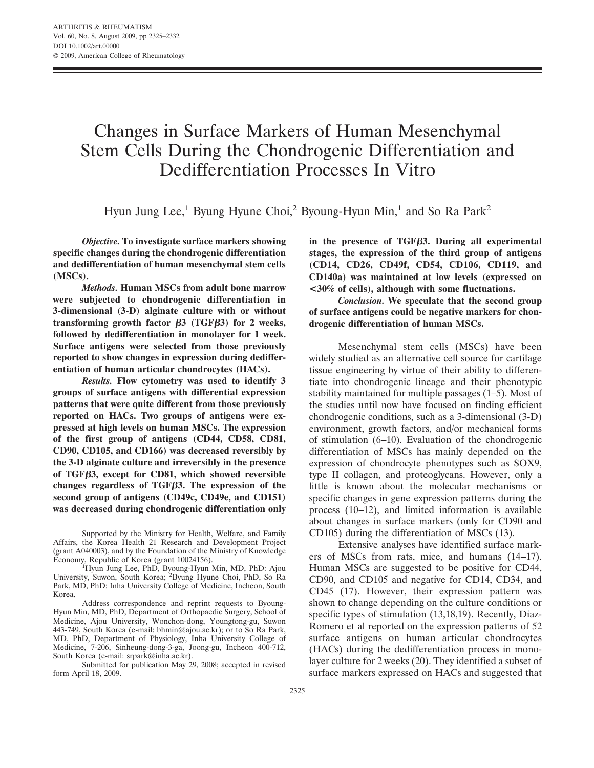# Changes in Surface Markers of Human Mesenchymal Stem Cells During the Chondrogenic Differentiation and Dedifferentiation Processes In Vitro

Hyun Jung Lee,<sup>1</sup> Byung Hyune Choi,<sup>2</sup> Byoung-Hyun Min,<sup>1</sup> and So Ra Park<sup>2</sup>

*Objective.* **To investigate surface markers showing specific changes during the chondrogenic differentiation and dedifferentiation of human mesenchymal stem cells (MSCs).**

*Methods.* **Human MSCs from adult bone marrow were subjected to chondrogenic differentiation in 3-dimensional (3-D) alginate culture with or without transforming growth factor**  $\beta$ **3** (TGF $\beta$ 3) for 2 weeks, **followed by dedifferentiation in monolayer for 1 week. Surface antigens were selected from those previously reported to show changes in expression during dedifferentiation of human articular chondrocytes (HACs).**

*Results.* **Flow cytometry was used to identify 3 groups of surface antigens with differential expression patterns that were quite different from those previously reported on HACs. Two groups of antigens were expressed at high levels on human MSCs. The expression of the first group of antigens (CD44, CD58, CD81, CD90, CD105, and CD166) was decreased reversibly by the 3-D alginate culture and irreversibly in the presence of TGF3, except for CD81, which showed reversible changes regardless of TGF3. The expression of the second group of antigens (CD49c, CD49e, and CD151) was decreased during chondrogenic differentiation only**

Submitted for publication May 29, 2008; accepted in revised form April 18, 2009.

**in the presence of TGF3. During all experimental stages, the expression of the third group of antigens (CD14, CD26, CD49f, CD54, CD106, CD119, and CD140a) was maintained at low levels (expressed on <30% of cells), although with some fluctuations.**

*Conclusion.* **We speculate that the second group of surface antigens could be negative markers for chondrogenic differentiation of human MSCs.**

Mesenchymal stem cells (MSCs) have been widely studied as an alternative cell source for cartilage tissue engineering by virtue of their ability to differentiate into chondrogenic lineage and their phenotypic stability maintained for multiple passages (1–5). Most of the studies until now have focused on finding efficient chondrogenic conditions, such as a 3-dimensional (3-D) environment, growth factors, and/or mechanical forms of stimulation (6–10). Evaluation of the chondrogenic differentiation of MSCs has mainly depended on the expression of chondrocyte phenotypes such as SOX9, type II collagen, and proteoglycans. However, only a little is known about the molecular mechanisms or specific changes in gene expression patterns during the process (10–12), and limited information is available about changes in surface markers (only for CD90 and CD105) during the differentiation of MSCs (13).

Extensive analyses have identified surface markers of MSCs from rats, mice, and humans (14–17). Human MSCs are suggested to be positive for CD44, CD90, and CD105 and negative for CD14, CD34, and CD45 (17). However, their expression pattern was shown to change depending on the culture conditions or specific types of stimulation (13,18,19). Recently, Diaz-Romero et al reported on the expression patterns of 52 surface antigens on human articular chondrocytes (HACs) during the dedifferentiation process in monolayer culture for 2 weeks (20). They identified a subset of surface markers expressed on HACs and suggested that

Supported by the Ministry for Health, Welfare, and Family Affairs, the Korea Health 21 Research and Development Project (grant A040003), and by the Foundation of the Ministry of Knowledge Economy, Republic of Korea (grant 10024156).

Hyun Jung Lee, PhD, Byoung-Hyun Min, MD, PhD: Ajou University, Suwon, South Korea; <sup>2</sup> Byung Hyune Choi, PhD, So Ra Park, MD, PhD: Inha University College of Medicine, Incheon, South Korea.

Address correspondence and reprint requests to Byoung-Hyun Min, MD, PhD, Department of Orthopaedic Surgery, School of Medicine, Ajou University, Wonchon-dong, Youngtong-gu, Suwon 443-749, South Korea (e-mail: bhmin@ajou.ac.kr); or to So Ra Park, MD, PhD, Department of Physiology, Inha University College of Medicine, 7-206, Sinheung-dong-3-ga, Joong-gu, Incheon 400-712, South Korea (e-mail: srpark@inha.ac.kr).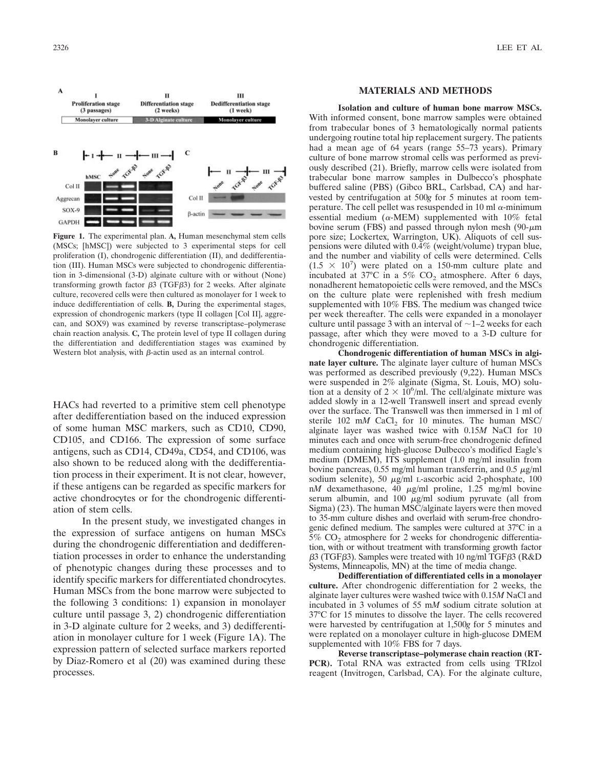

**Figure 1.** The experimental plan. **A,** Human mesenchymal stem cells (MSCs; [hMSC]) were subjected to 3 experimental steps for cell proliferation (I), chondrogenic differentiation (II), and dedifferentiation (III). Human MSCs were subjected to chondrogenic differentiation in 3-dimensional (3-D) alginate culture with or without (None) transforming growth factor  $\beta$ 3 (TGF $\beta$ 3) for 2 weeks. After alginate culture, recovered cells were then cultured as monolayer for 1 week to induce dedifferentiation of cells. **B,** During the experimental stages, expression of chondrogenic markers (type II collagen [Col II], aggrecan, and SOX9) was examined by reverse transcriptase–polymerase chain reaction analysis. **C,** The protein level of type II collagen during the differentiation and dedifferentiation stages was examined by Western blot analysis, with  $\beta$ -actin used as an internal control.

HACs had reverted to a primitive stem cell phenotype after dedifferentiation based on the induced expression of some human MSC markers, such as CD10, CD90, CD105, and CD166. The expression of some surface antigens, such as CD14, CD49a, CD54, and CD106, was also shown to be reduced along with the dedifferentiation process in their experiment. It is not clear, however, if these antigens can be regarded as specific markers for active chondrocytes or for the chondrogenic differentiation of stem cells.

In the present study, we investigated changes in the expression of surface antigens on human MSCs during the chondrogenic differentiation and dedifferentiation processes in order to enhance the understanding of phenotypic changes during these processes and to identify specific markers for differentiated chondrocytes. Human MSCs from the bone marrow were subjected to the following 3 conditions: 1) expansion in monolayer culture until passage 3, 2) chondrogenic differentiation in 3-D alginate culture for 2 weeks, and 3) dedifferentiation in monolayer culture for 1 week (Figure 1A). The expression pattern of selected surface markers reported by Diaz-Romero et al (20) was examined during these processes.

## **MATERIALS AND METHODS**

**Isolation and culture of human bone marrow MSCs.** With informed consent, bone marrow samples were obtained from trabecular bones of 3 hematologically normal patients undergoing routine total hip replacement surgery. The patients had a mean age of 64 years (range 55–73 years). Primary culture of bone marrow stromal cells was performed as previously described (21). Briefly, marrow cells were isolated from trabecular bone marrow samples in Dulbecco's phosphate buffered saline (PBS) (Gibco BRL, Carlsbad, CA) and harvested by centrifugation at 500*g* for 5 minutes at room temperature. The cell pellet was resuspended in 10 ml  $\alpha$ -minimum essential medium ( $\alpha$ -MEM) supplemented with 10% fetal bovine serum (FBS) and passed through nylon mesh (90- $\mu$ m pore size; Lockertex, Warrington, UK). Aliquots of cell suspensions were diluted with 0.4% (weight/volume) trypan blue, and the number and viability of cells were determined. Cells  $(1.5 \times 10^7)$  were plated on a 150-mm culture plate and incubated at 37°C in a 5%  $CO<sub>2</sub>$  atmosphere. After 6 days, nonadherent hematopoietic cells were removed, and the MSCs on the culture plate were replenished with fresh medium supplemented with 10% FBS. The medium was changed twice per week thereafter. The cells were expanded in a monolayer culture until passage 3 with an interval of  $\sim$  1–2 weeks for each passage, after which they were moved to a 3-D culture for chondrogenic differentiation.

**Chondrogenic differentiation of human MSCs in alginate layer culture.** The alginate layer culture of human MSCs was performed as described previously (9,22). Human MSCs were suspended in 2% alginate (Sigma, St. Louis, MO) solution at a density of  $2 \times 10^6$ /ml. The cell/alginate mixture was added slowly in a 12-well Transwell insert and spread evenly over the surface. The Transwell was then immersed in 1 ml of sterile 102 m*M* CaCl<sub>2</sub> for 10 minutes. The human MSC/ alginate layer was washed twice with 0.15*M* NaCl for 10 minutes each and once with serum-free chondrogenic defined medium containing high-glucose Dulbecco's modified Eagle's medium (DMEM), ITS supplement (1.0 mg/ml insulin from bovine pancreas, 0.55 mg/ml human transferrin, and 0.5  $\mu$ g/ml sodium selenite), 50  $\mu$ g/ml L-ascorbic acid 2-phosphate, 100 n*M* dexamethasone, 40  $\mu$ g/ml proline, 1.25 mg/ml bovine<br>serum albumin and 100  $\mu$ g/ml sodium pyruvate (all from serum albumin, and 100  $\mu$ g/ml sodium pyruvate (all from Sigma) (23). The human MSC/alginate layers were then moved to 35-mm culture dishes and overlaid with serum-free chondrogenic defined medium. The samples were cultured at 37°C in a  $5\%$  CO<sub>2</sub> atmosphere for 2 weeks for chondrogenic differentiation, with or without treatment with transforming growth factor  $\beta$ 3 (TGF $\beta$ 3). Samples were treated with 10 ng/ml TGF $\beta$ 3 (R&D Systems, Minneapolis, MN) at the time of media change.

**Dedifferentiation of differentiated cells in a monolayer culture.** After chondrogenic differentiation for 2 weeks, the alginate layer cultures were washed twice with 0.15*M* NaCl and incubated in 3 volumes of 55 m*M* sodium citrate solution at 37°C for 15 minutes to dissolve the layer. The cells recovered were harvested by centrifugation at 1,500*g* for 5 minutes and were replated on a monolayer culture in high-glucose DMEM supplemented with  $10\%$  FBS for 7 days.

**Reverse transcriptase–polymerase chain reaction (RT-PCR).** Total RNA was extracted from cells using TRIzol reagent (Invitrogen, Carlsbad, CA). For the alginate culture,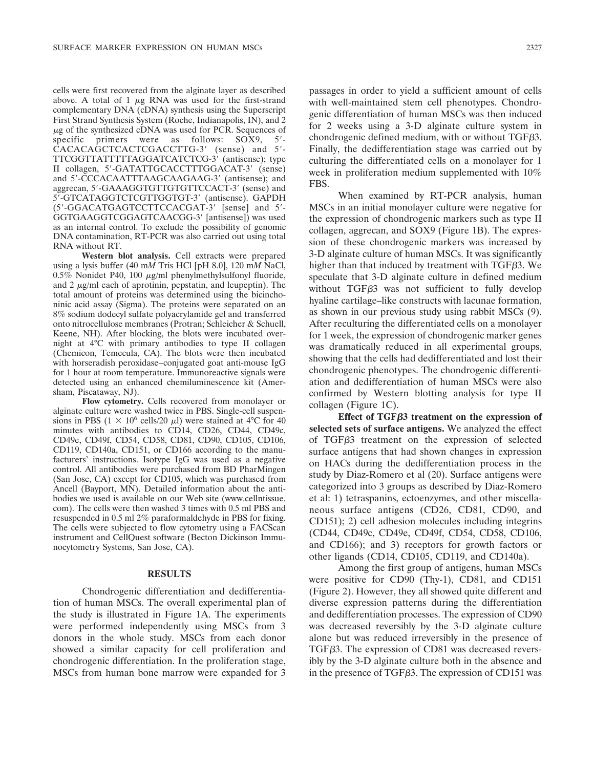cells were first recovered from the alginate layer as described above. A total of 1  $\mu$ g RNA was used for the first-strand complementary DNA (cDNA) synthesis using the Superscript First Strand Synthesis System (Roche, Indianapolis, IN), and 2  $\mu$ g of the synthesized cDNA was used for PCR. Sequences of specific primers were as follows: SOX9, 5'-CACACAGCTCACTCGACCTTG-3' (sense) and 5'-TTCGGTTATTTTTAGGATCATCTCG-3 (antisense); type II collagen, 5'-GATATTGCACCTTTGGACAT-3' (sense) and 5'-CCCACAATTTAAGCAAGAAG-3' (antisense); and aggrecan, 5'-GAAAGGTGTTGTGTTCCACT-3' (sense) and 5-GTCATAGGTCTCGTTGGTGT-3 (antisense). GAPDH (5'-GGACATGAGTCCTTCCACGAT-3' [sense] and 5'-GGTGAAGGTCGGAGTCAACGG-3' [antisense]) was used as an internal control. To exclude the possibility of genomic DNA contamination, RT-PCR was also carried out using total RNA without RT.

**Western blot analysis.** Cell extracts were prepared using a lysis buffer (40 m*M* Tris HCl [pH 8.0], 120 m*M* NaCl,  $0.5\%$  Nonidet P40, 100  $\mu$ g/ml phenylmethylsulfonyl fluoride, and 2  $\mu$ g/ml each of aprotinin, pepstatin, and leupeptin). The total amount of proteins was determined using the bicinchoninic acid assay (Sigma). The proteins were separated on an 8% sodium dodecyl sulfate polyacrylamide gel and transferred onto nitrocellulose membranes (Protran; Schleicher & Schuell, Keene, NH). After blocking, the blots were incubated overnight at 4°C with primary antibodies to type II collagen (Chemicon, Temecula, CA). The blots were then incubated with horseradish peroxidase–conjugated goat anti-mouse IgG for 1 hour at room temperature. Immunoreactive signals were detected using an enhanced chemiluminescence kit (Amersham, Piscataway, NJ).

**Flow cytometry.** Cells recovered from monolayer or alginate culture were washed twice in PBS. Single-cell suspensions in PBS ( $1 \times 10^6$  cells/20  $\mu$ l) were stained at 4°C for 40 minutes with antibodies to CD14, CD26, CD44, CD49c, CD49e, CD49f, CD54, CD58, CD81, CD90, CD105, CD106, CD119, CD140a, CD151, or CD166 according to the manufacturers' instructions. Isotype IgG was used as a negative control. All antibodies were purchased from BD PharMingen (San Jose, CA) except for CD105, which was purchased from Ancell (Bayport, MN). Detailed information about the antibodies we used is available on our Web site (www.cellntissue. com). The cells were then washed 3 times with 0.5 ml PBS and resuspended in 0.5 ml 2% paraformaldehyde in PBS for fixing. The cells were subjected to flow cytometry using a FACScan instrument and CellQuest software (Becton Dickinson Immunocytometry Systems, San Jose, CA).

## **RESULTS**

Chondrogenic differentiation and dedifferentiation of human MSCs. The overall experimental plan of the study is illustrated in Figure 1A. The experiments were performed independently using MSCs from 3 donors in the whole study. MSCs from each donor showed a similar capacity for cell proliferation and chondrogenic differentiation. In the proliferation stage, MSCs from human bone marrow were expanded for 3 passages in order to yield a sufficient amount of cells with well-maintained stem cell phenotypes. Chondrogenic differentiation of human MSCs was then induced for 2 weeks using a 3-D alginate culture system in chondrogenic defined medium, with or without TGF $\beta$ 3. Finally, the dedifferentiation stage was carried out by culturing the differentiated cells on a monolayer for 1 week in proliferation medium supplemented with 10% FBS.

When examined by RT-PCR analysis, human MSCs in an initial monolayer culture were negative for the expression of chondrogenic markers such as type II collagen, aggrecan, and SOX9 (Figure 1B). The expression of these chondrogenic markers was increased by 3-D alginate culture of human MSCs. It was significantly higher than that induced by treatment with  $TGF \beta 3$ . We speculate that 3-D alginate culture in defined medium without  $TGF\beta3$  was not sufficient to fully develop hyaline cartilage–like constructs with lacunae formation, as shown in our previous study using rabbit MSCs (9). After reculturing the differentiated cells on a monolayer for 1 week, the expression of chondrogenic marker genes was dramatically reduced in all experimental groups, showing that the cells had dedifferentiated and lost their chondrogenic phenotypes. The chondrogenic differentiation and dedifferentiation of human MSCs were also confirmed by Western blotting analysis for type II collagen (Figure 1C).

**Effect of TGF3 treatment on the expression of selected sets of surface antigens.** We analyzed the effect of TGF3 treatment on the expression of selected surface antigens that had shown changes in expression on HACs during the dedifferentiation process in the study by Diaz-Romero et al (20). Surface antigens were categorized into 3 groups as described by Diaz-Romero et al: 1) tetraspanins, ectoenzymes, and other miscellaneous surface antigens (CD26, CD81, CD90, and CD151); 2) cell adhesion molecules including integrins (CD44, CD49c, CD49e, CD49f, CD54, CD58, CD106, and CD166); and 3) receptors for growth factors or other ligands (CD14, CD105, CD119, and CD140a).

Among the first group of antigens, human MSCs were positive for CD90 (Thy-1), CD81, and CD151 (Figure 2). However, they all showed quite different and diverse expression patterns during the differentiation and dedifferentiation processes. The expression of CD90 was decreased reversibly by the 3-D alginate culture alone but was reduced irreversibly in the presence of TGF<sub>B</sub>3. The expression of CD81 was decreased reversibly by the 3-D alginate culture both in the absence and in the presence of TGF $\beta$ 3. The expression of CD151 was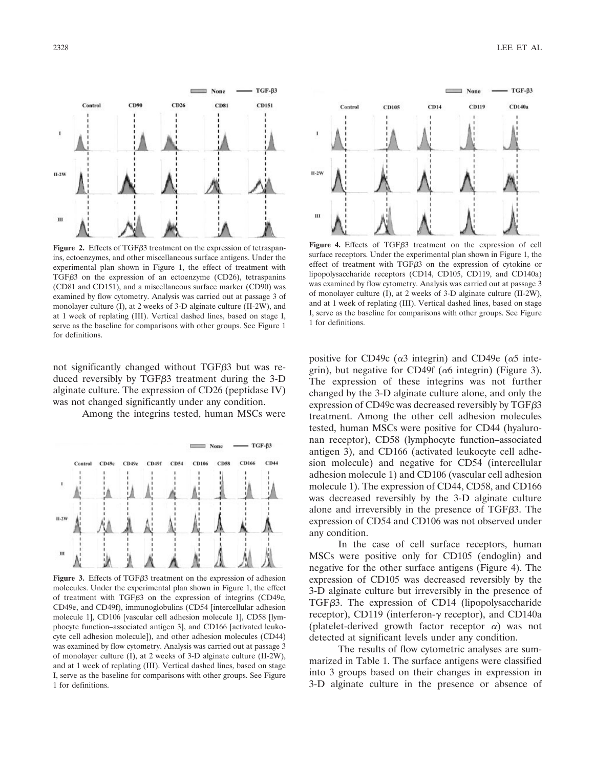

Figure 2. Effects of TGF<sub>B</sub>3 treatment on the expression of tetraspanins, ectoenzymes, and other miscellaneous surface antigens. Under the experimental plan shown in Figure 1, the effect of treatment with TGF $\beta$ 3 on the expression of an ectoenzyme (CD26), tetraspanins (CD81 and CD151), and a miscellaneous surface marker (CD90) was examined by flow cytometry. Analysis was carried out at passage 3 of monolayer culture (I), at 2 weeks of 3-D alginate culture (II-2W), and at 1 week of replating (III). Vertical dashed lines, based on stage I, serve as the baseline for comparisons with other groups. See Figure 1 for definitions.

not significantly changed without  $TGF\beta3$  but was reduced reversibly by  $TGF\beta3$  treatment during the 3-D alginate culture. The expression of CD26 (peptidase IV) was not changed significantly under any condition.

Among the integrins tested, human MSCs were



Figure 3. Effects of TGF<sub>B</sub>3 treatment on the expression of adhesion molecules. Under the experimental plan shown in Figure 1, the effect of treatment with TGF $\beta$ 3 on the expression of integrins (CD49c, CD49e, and CD49f), immunoglobulins (CD54 [intercellular adhesion molecule 1], CD106 [vascular cell adhesion molecule 1], CD58 [lymphocyte function–associated antigen 3], and CD166 [activated leukocyte cell adhesion molecule]), and other adhesion molecules (CD44) was examined by flow cytometry. Analysis was carried out at passage 3 of monolayer culture (I), at 2 weeks of 3-D alginate culture (II-2W), and at 1 week of replating (III). Vertical dashed lines, based on stage I, serve as the baseline for comparisons with other groups. See Figure 1 for definitions.



Figure 4. Effects of TGF<sub> $\beta$ 3</sub> treatment on the expression of cell surface receptors. Under the experimental plan shown in Figure 1, the effect of treatment with TGF3 on the expression of cytokine or lipopolysaccharide receptors (CD14, CD105, CD119, and CD140a) was examined by flow cytometry. Analysis was carried out at passage 3 of monolayer culture (I), at 2 weeks of 3-D alginate culture (II-2W), and at 1 week of replating (III). Vertical dashed lines, based on stage I, serve as the baseline for comparisons with other groups. See Figure 1 for definitions.

positive for CD49c ( $\alpha$ 3 integrin) and CD49e ( $\alpha$ 5 integrin), but negative for CD49f ( $\alpha$ 6 integrin) (Figure 3). The expression of these integrins was not further changed by the 3-D alginate culture alone, and only the expression of CD49c was decreased reversibly by  $TGF \beta 3$ treatment. Among the other cell adhesion molecules tested, human MSCs were positive for CD44 (hyaluronan receptor), CD58 (lymphocyte function–associated antigen 3), and CD166 (activated leukocyte cell adhesion molecule) and negative for CD54 (intercellular adhesion molecule 1) and CD106 (vascular cell adhesion molecule 1). The expression of CD44, CD58, and CD166 was decreased reversibly by the 3-D alginate culture alone and irreversibly in the presence of  $TGF \beta 3$ . The expression of CD54 and CD106 was not observed under any condition.

In the case of cell surface receptors, human MSCs were positive only for CD105 (endoglin) and negative for the other surface antigens (Figure 4). The expression of CD105 was decreased reversibly by the 3-D alginate culture but irreversibly in the presence of TGF<sub>B</sub>3. The expression of CD<sub>14</sub> (lipopolysaccharide receptor), CD119 (interferon- $\gamma$  receptor), and CD140a (platelet-derived growth factor receptor  $\alpha$ ) was not detected at significant levels under any condition.

The results of flow cytometric analyses are summarized in Table 1. The surface antigens were classified into 3 groups based on their changes in expression in 3-D alginate culture in the presence or absence of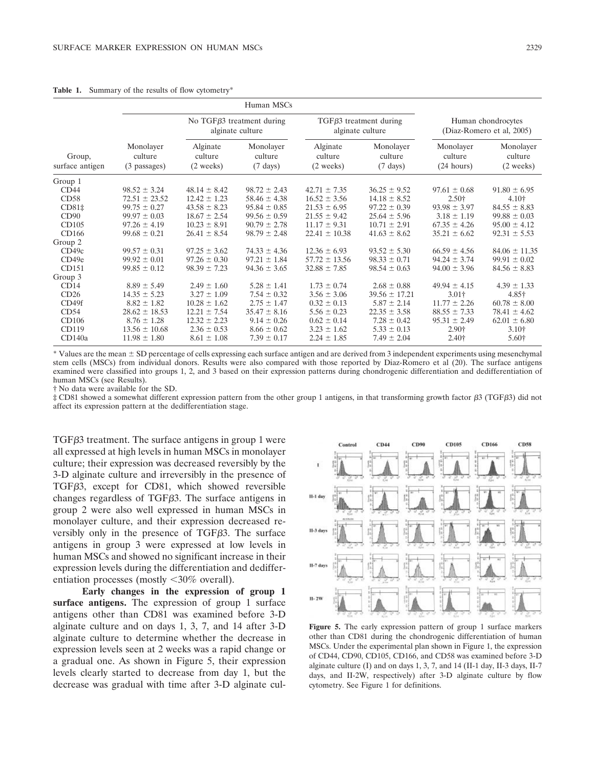|                           | Human MSCs                           |                                                       |                                            |                                                  |                                            |                                                 |                                             |
|---------------------------|--------------------------------------|-------------------------------------------------------|--------------------------------------------|--------------------------------------------------|--------------------------------------------|-------------------------------------------------|---------------------------------------------|
|                           |                                      | No TGF $\beta$ 3 treatment during<br>alginate culture |                                            | $TGF\beta3$ treatment during<br>alginate culture |                                            | Human chondrocytes<br>(Diaz-Romero et al, 2005) |                                             |
| Group,<br>surface antigen | Monolayer<br>culture<br>(3 passages) | Alginate<br>culture<br>$(2 \text{ weeks})$            | Monolayer<br>culture<br>$(7 \text{ days})$ | Alginate<br>culture<br>$(2 \text{ weeks})$       | Monolayer<br>culture<br>$(7 \text{ days})$ | Monolayer<br>culture<br>(24 hours)              | Monolayer<br>culture<br>$(2 \text{ weeks})$ |
| Group 1                   |                                      |                                                       |                                            |                                                  |                                            |                                                 |                                             |
| CD44                      | $98.52 \pm 3.24$                     | $48.14 \pm 8.42$                                      | $98.72 \pm 2.43$                           | $42.71 \pm 7.35$                                 | $36.25 \pm 9.52$                           | $97.61 \pm 0.68$                                | $91.80 \pm 6.95$                            |
| CD58                      | $72.51 \pm 23.52$                    | $12.42 \pm 1.23$                                      | $58.46 \pm 4.38$                           | $16.52 \pm 3.56$                                 | $14.18 \pm 8.52$                           | $2.50+$                                         | 4.10†                                       |
| $CD81+$                   | $99.75 \pm 0.27$                     | $43.58 \pm 8.23$                                      | $95.84 \pm 0.85$                           | $21.53 \pm 6.95$                                 | $97.22 \pm 0.39$                           | $93.98 \pm 3.97$                                | $84.55 \pm 8.83$                            |
| CD90                      | $99.97 \pm 0.03$                     | $18.67 \pm 2.54$                                      | $99.56 \pm 0.59$                           | $21.55 \pm 9.42$                                 | $25.64 \pm 5.96$                           | $3.18 \pm 1.19$                                 | $99.88 \pm 0.03$                            |
| CD105                     | $97.26 \pm 4.19$                     | $10.23 \pm 8.91$                                      | $90.79 \pm 2.78$                           | $11.17 \pm 9.31$                                 | $10.71 \pm 2.91$                           | $67.35 \pm 4.26$                                | $95.00 \pm 4.12$                            |
| CD166                     | $99.68 \pm 0.21$                     | $26.41 \pm 8.54$                                      | $98.79 \pm 2.48$                           | $22.41 \pm 10.38$                                | $41.63 \pm 8.62$                           | $35.21 \pm 6.62$                                | $92.31 \pm 5.53$                            |
| Group 2                   |                                      |                                                       |                                            |                                                  |                                            |                                                 |                                             |
| CD49c                     | $99.57 \pm 0.31$                     | $97.25 \pm 3.62$                                      | $74.33 \pm 4.36$                           | $12.36 \pm 6.93$                                 | $93.52 \pm 5.30$                           | $66.59 \pm 4.56$                                | $84.06 \pm 11.35$                           |
| CD49e                     | $99.92 \pm 0.01$                     | $97.26 \pm 0.30$                                      | $97.21 \pm 1.84$                           | $57.72 \pm 13.56$                                | $98.33 \pm 0.71$                           | $94.24 \pm 3.74$                                | $99.91 \pm 0.02$                            |
| CD151                     | $99.85 \pm 0.12$                     | $98.39 \pm 7.23$                                      | $94.36 \pm 3.65$                           | $32.88 \pm 7.85$                                 | $98.54 \pm 0.63$                           | $94.00 \pm 3.96$                                | $84.56 \pm 8.83$                            |
| Group 3                   |                                      |                                                       |                                            |                                                  |                                            |                                                 |                                             |
| CD14                      | $8.89 \pm 5.49$                      | $2.49 \pm 1.60$                                       | $5.28 \pm 1.41$                            | $1.73 \pm 0.74$                                  | $2.68 \pm 0.88$                            | $49.94 \pm 4.15$                                | $4.39 \pm 1.33$                             |
| CD26                      | $14.35 \pm 5.23$                     | $3.27 \pm 1.09$                                       | $7.54 \pm 0.32$                            | $3.56 \pm 3.06$                                  | $39.56 \pm 17.21$                          | $3.01+$                                         | 4.85†                                       |
| CD49f                     | $8.82 \pm 1.82$                      | $10.28 \pm 1.62$                                      | $2.75 \pm 1.47$                            | $0.32 \pm 0.13$                                  | $5.87 \pm 2.14$                            | $11.77 \pm 2.26$                                | $60.78 \pm 8.00$                            |
| CD54                      | $28.62 \pm 18.53$                    | $12.21 \pm 7.54$                                      | $35.47 \pm 8.16$                           | $5.56 \pm 0.23$                                  | $22.35 \pm 3.58$                           | $88.55 \pm 7.33$                                | $78.41 \pm 4.62$                            |
| CD106                     | $8.76 \pm 1.28$                      | $12.32 \pm 2.23$                                      | $9.14 \pm 0.26$                            | $0.62 \pm 0.14$                                  | $7.28 \pm 0.42$                            | $95.31 \pm 2.49$                                | $62.01 \pm 6.80$                            |
| CD119                     | $13.56 \pm 10.68$                    | $2.36 \pm 0.53$                                       | $8.66 \pm 0.62$                            | $3.23 \pm 1.62$                                  | $5.33 \pm 0.13$                            | 2.90†                                           | 3.10+                                       |
| CD140a                    | $11.98 \pm 1.80$                     | $8.61 \pm 1.08$                                       | $7.39 \pm 0.17$                            | $2.24 \pm 1.85$                                  | $7.49 \pm 2.04$                            | 2.40 <sup>†</sup>                               | 5.60†                                       |

Table 1. Summary of the results of flow cytometry<sup>\*</sup>

\* Values are the mean  $\pm$  SD percentage of cells expressing each surface antigen and are derived from 3 independent experiments using mesenchymal stem cells (MSCs) from individual donors. Results were also compared with those reported by Diaz-Romero et al (20). The surface antigens examined were classified into groups 1, 2, and 3 based on their expression patterns during chondrogenic differentiation and dedifferentiation of human MSCs (see Results).

† No data were available for the SD.

‡ CD81 showed a somewhat different expression pattern from the other group 1 antigens, in that transforming growth factor β3 (TGFβ3) did not affect its expression pattern at the dedifferentiation stage.

TGF3 treatment. The surface antigens in group 1 were all expressed at high levels in human MSCs in monolayer culture; their expression was decreased reversibly by the 3-D alginate culture and irreversibly in the presence of TGF<sub>B3</sub>, except for CD<sub>81</sub>, which showed reversible changes regardless of TGF3. The surface antigens in group 2 were also well expressed in human MSCs in monolayer culture, and their expression decreased reversibly only in the presence of TGF $\beta$ 3. The surface antigens in group 3 were expressed at low levels in human MSCs and showed no significant increase in their expression levels during the differentiation and dedifferentiation processes (mostly <30% overall).

**Early changes in the expression of group 1 surface antigens.** The expression of group 1 surface antigens other than CD81 was examined before 3-D alginate culture and on days 1, 3, 7, and 14 after 3-D alginate culture to determine whether the decrease in expression levels seen at 2 weeks was a rapid change or a gradual one. As shown in Figure 5, their expression levels clearly started to decrease from day 1, but the decrease was gradual with time after 3-D alginate cul-



**Figure 5.** The early expression pattern of group 1 surface markers other than CD81 during the chondrogenic differentiation of human MSCs. Under the experimental plan shown in Figure 1, the expression of CD44, CD90, CD105, CD166, and CD58 was examined before 3-D alginate culture (I) and on days 1, 3, 7, and 14 (II-1 day, II-3 days, II-7 days, and II-2W, respectively) after 3-D alginate culture by flow cytometry. See Figure 1 for definitions.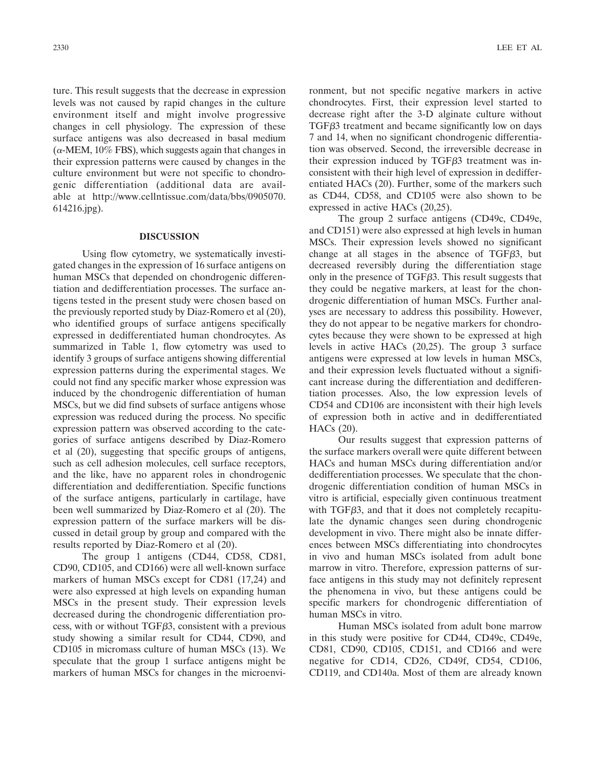ture. This result suggests that the decrease in expression levels was not caused by rapid changes in the culture environment itself and might involve progressive changes in cell physiology. The expression of these surface antigens was also decreased in basal medium  $(\alpha$ -MEM, 10% FBS), which suggests again that changes in their expression patterns were caused by changes in the culture environment but were not specific to chondrogenic differentiation (additional data are available at http://www.cellntissue.com/data/bbs/0905070. 614216.jpg).

## **DISCUSSION**

Using flow cytometry, we systematically investigated changes in the expression of 16 surface antigens on human MSCs that depended on chondrogenic differentiation and dedifferentiation processes. The surface antigens tested in the present study were chosen based on the previously reported study by Diaz-Romero et al (20), who identified groups of surface antigens specifically expressed in dedifferentiated human chondrocytes. As summarized in Table 1, flow cytometry was used to identify 3 groups of surface antigens showing differential expression patterns during the experimental stages. We could not find any specific marker whose expression was induced by the chondrogenic differentiation of human MSCs, but we did find subsets of surface antigens whose expression was reduced during the process. No specific expression pattern was observed according to the categories of surface antigens described by Diaz-Romero et al (20), suggesting that specific groups of antigens, such as cell adhesion molecules, cell surface receptors, and the like, have no apparent roles in chondrogenic differentiation and dedifferentiation. Specific functions of the surface antigens, particularly in cartilage, have been well summarized by Diaz-Romero et al (20). The expression pattern of the surface markers will be discussed in detail group by group and compared with the results reported by Diaz-Romero et al (20).

The group 1 antigens (CD44, CD58, CD81, CD90, CD105, and CD166) were all well-known surface markers of human MSCs except for CD81 (17,24) and were also expressed at high levels on expanding human MSCs in the present study. Their expression levels decreased during the chondrogenic differentiation process, with or without TGF $\beta$ 3, consistent with a previous study showing a similar result for CD44, CD90, and CD105 in micromass culture of human MSCs (13). We speculate that the group 1 surface antigens might be markers of human MSCs for changes in the microenvironment, but not specific negative markers in active chondrocytes. First, their expression level started to decrease right after the 3-D alginate culture without TGF3 treatment and became significantly low on days 7 and 14, when no significant chondrogenic differentiation was observed. Second, the irreversible decrease in their expression induced by  $TGF\beta3$  treatment was inconsistent with their high level of expression in dedifferentiated HACs (20). Further, some of the markers such as CD44, CD58, and CD105 were also shown to be expressed in active HACs (20,25).

The group 2 surface antigens (CD49c, CD49e, and CD151) were also expressed at high levels in human MSCs. Their expression levels showed no significant change at all stages in the absence of TGF<sub>B3</sub>, but decreased reversibly during the differentiation stage only in the presence of  $TGF\beta3$ . This result suggests that they could be negative markers, at least for the chondrogenic differentiation of human MSCs. Further analyses are necessary to address this possibility. However, they do not appear to be negative markers for chondrocytes because they were shown to be expressed at high levels in active HACs (20,25). The group 3 surface antigens were expressed at low levels in human MSCs, and their expression levels fluctuated without a significant increase during the differentiation and dedifferentiation processes. Also, the low expression levels of CD54 and CD106 are inconsistent with their high levels of expression both in active and in dedifferentiated HACs (20).

Our results suggest that expression patterns of the surface markers overall were quite different between HACs and human MSCs during differentiation and/or dedifferentiation processes. We speculate that the chondrogenic differentiation condition of human MSCs in vitro is artificial, especially given continuous treatment with TGF<sub>B3</sub>, and that it does not completely recapitulate the dynamic changes seen during chondrogenic development in vivo. There might also be innate differences between MSCs differentiating into chondrocytes in vivo and human MSCs isolated from adult bone marrow in vitro. Therefore, expression patterns of surface antigens in this study may not definitely represent the phenomena in vivo, but these antigens could be specific markers for chondrogenic differentiation of human MSCs in vitro.

Human MSCs isolated from adult bone marrow in this study were positive for CD44, CD49c, CD49e, CD81, CD90, CD105, CD151, and CD166 and were negative for CD14, CD26, CD49f, CD54, CD106, CD119, and CD140a. Most of them are already known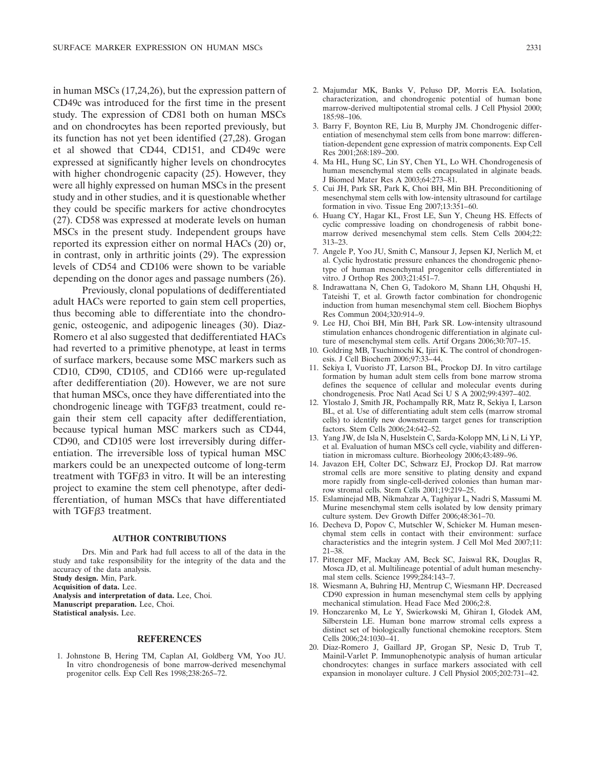in human MSCs (17,24,26), but the expression pattern of CD49c was introduced for the first time in the present study. The expression of CD81 both on human MSCs and on chondrocytes has been reported previously, but its function has not yet been identified (27,28). Grogan et al showed that CD44, CD151, and CD49c were expressed at significantly higher levels on chondrocytes with higher chondrogenic capacity (25). However, they were all highly expressed on human MSCs in the present study and in other studies, and it is questionable whether they could be specific markers for active chondrocytes (27). CD58 was expressed at moderate levels on human MSCs in the present study. Independent groups have reported its expression either on normal HACs (20) or, in contrast, only in arthritic joints (29). The expression levels of CD54 and CD106 were shown to be variable depending on the donor ages and passage numbers (26).

Previously, clonal populations of dedifferentiated adult HACs were reported to gain stem cell properties, thus becoming able to differentiate into the chondrogenic, osteogenic, and adipogenic lineages (30). Diaz-Romero et al also suggested that dedifferentiated HACs had reverted to a primitive phenotype, at least in terms of surface markers, because some MSC markers such as CD10, CD90, CD105, and CD166 were up-regulated after dedifferentiation (20). However, we are not sure that human MSCs, once they have differentiated into the chondrogenic lineage with TGF<sub>B3</sub> treatment, could regain their stem cell capacity after dedifferentiation, because typical human MSC markers such as CD44, CD90, and CD105 were lost irreversibly during differentiation. The irreversible loss of typical human MSC markers could be an unexpected outcome of long-term treatment with TGF3 in vitro. It will be an interesting project to examine the stem cell phenotype, after dedifferentiation, of human MSCs that have differentiated with TGF $\beta$ 3 treatment.

#### **AUTHOR CONTRIBUTIONS**

Drs. Min and Park had full access to all of the data in the study and take responsibility for the integrity of the data and the accuracy of the data analysis. **Study design.** Min, Park. **Acquisition of data.** Lee. **Analysis and interpretation of data.** Lee, Choi. **Manuscript preparation.** Lee, Choi. **Statistical analysis.** Lee.

#### **REFERENCES**

1. Johnstone B, Hering TM, Caplan AI, Goldberg VM, Yoo JU. In vitro chondrogenesis of bone marrow-derived mesenchymal progenitor cells. Exp Cell Res 1998;238:265–72.

- 2. Majumdar MK, Banks V, Peluso DP, Morris EA. Isolation, characterization, and chondrogenic potential of human bone marrow-derived multipotential stromal cells. J Cell Physiol 2000; 185:98–106.
- 3. Barry F, Boynton RE, Liu B, Murphy JM. Chondrogenic differentiation of mesenchymal stem cells from bone marrow: differentiation-dependent gene expression of matrix components. Exp Cell Res 2001;268:189–200.
- 4. Ma HL, Hung SC, Lin SY, Chen YL, Lo WH. Chondrogenesis of human mesenchymal stem cells encapsulated in alginate beads. J Biomed Mater Res A 2003;64:273–81.
- 5. Cui JH, Park SR, Park K, Choi BH, Min BH. Preconditioning of mesenchymal stem cells with low-intensity ultrasound for cartilage formation in vivo. Tissue Eng 2007;13:351–60.
- 6. Huang CY, Hagar KL, Frost LE, Sun Y, Cheung HS. Effects of cyclic compressive loading on chondrogenesis of rabbit bonemarrow derived mesenchymal stem cells. Stem Cells 2004;22: 313–23.
- 7. Angele P, Yoo JU, Smith C, Mansour J, Jepsen KJ, Nerlich M, et al. Cyclic hydrostatic pressure enhances the chondrogenic phenotype of human mesenchymal progenitor cells differentiated in vitro. J Orthop Res 2003;21:451–7.
- 8. Indrawattana N, Chen G, Tadokoro M, Shann LH, Ohqushi H, Tateishi T, et al. Growth factor combination for chondrogenic induction from human mesenchymal stem cell. Biochem Biophys Res Commun 2004;320:914–9.
- 9. Lee HJ, Choi BH, Min BH, Park SR. Low-intensity ultrasound stimulation enhances chondrogenic differentiation in alginate culture of mesenchymal stem cells. Artif Organs 2006;30:707–15.
- 10. Goldring MB, Tsuchimochi K, Ijiri K. The control of chondrogenesis. J Cell Biochem 2006;97:33–44.
- 11. Sekiya I, Vuoristo JT, Larson BL, Prockop DJ. In vitro cartilage formation by human adult stem cells from bone marrow stroma defines the sequence of cellular and molecular events during chondrogenesis. Proc Natl Acad Sci U S A 2002;99:4397-402.
- 12. Ylostalo J, Smith JR, Pochampally RR, Matz R, Sekiya I, Larson BL, et al. Use of differentiating adult stem cells (marrow stromal cells) to identify new downstream target genes for transcription factors. Stem Cells 2006;24:642–52.
- 13. Yang JW, de Isla N, Huselstein C, Sarda-Kolopp MN, Li N, Li YP, et al. Evaluation of human MSCs cell cycle, viability and differentiation in micromass culture. Biorheology 2006;43:489–96.
- 14. Javazon EH, Colter DC, Schwarz EJ, Prockop DJ. Rat marrow stromal cells are more sensitive to plating density and expand more rapidly from single-cell-derived colonies than human marrow stromal cells. Stem Cells 2001;19:219–25.
- 15. Eslaminejad MB, Nikmahzar A, Taghiyar L, Nadri S, Massumi M. Murine mesenchymal stem cells isolated by low density primary culture system. Dev Growth Differ 2006;48:361–70.
- 16. Decheva D, Popov C, Mutschler W, Schieker M. Human mesenchymal stem cells in contact with their environment: surface characteristics and the integrin system. J Cell Mol Med 2007;11: 21–38.
- 17. Pittenger MF, Mackay AM, Beck SC, Jaiswal RK, Douglas R, Mosca JD, et al. Multilineage potential of adult human mesenchymal stem cells. Science 1999;284:143–7.
- 18. Wiesmann A, Buhring HJ, Mentrup C, Wiesmann HP. Decreased CD90 expression in human mesenchymal stem cells by applying mechanical stimulation. Head Face Med 2006;2:8.
- 19. Honczarenko M, Le Y, Swierkowski M, Ghiran I, Glodek AM, Silberstein LE. Human bone marrow stromal cells express a distinct set of biologically functional chemokine receptors. Stem Cells 2006;24:1030–41.
- 20. Diaz-Romero J, Gaillard JP, Grogan SP, Nesic D, Trub T, Mainil-Varlet P. Immunophenotypic analysis of human articular chondrocytes: changes in surface markers associated with cell expansion in monolayer culture. J Cell Physiol 2005;202:731–42.